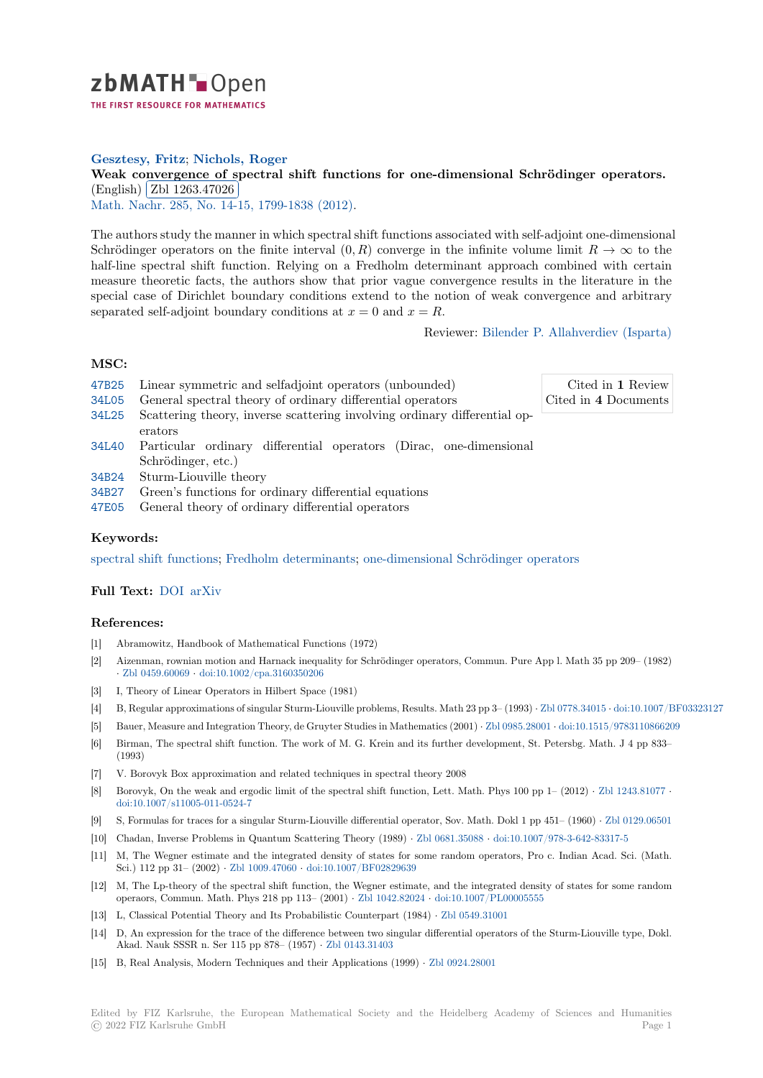

# **Gesztesy, Fritz**; **Nichols, Roger**

[W](https://zbmath.org/)eak convergence of spectral shift functions for one-dimensional Schrödinger operators. (English) Zbl 1263.47026

<u>(Lighsh) (Lib 1260, 41626)</u><br>Math. Nachr. 285, No. 14-15, 1799-1838 (2012).

[The authors study the manner in which spectral shift functions associated with self-adjoint one-dimensiona](https://zbmath.org/1263.47026)l Schrödin[ger operators on th](https://zbmath.org/1263.47026)e finite interval  $(0, R)$  converge in the infinite volume limit  $R \to \infty$  to the [half-line spec](https://zbmath.org/journals/?q=se:561)t[ral shift function. Relying on a](https://zbmath.org/?q=in:309949) Fredholm determinant approach combined with certain measure theoretic facts, the authors show that prior vague convergence results in the literature in the special case of Dirichlet boundary conditions extend to the notion of weak convergence and arbitrary separated self-adjoint boundary conditions at  $x = 0$  and  $x = R$ .

Reviewer: Bilender P. Allahverdiev (Isparta)

#### **MSC:**

- 47B25 Linear symmetric and selfadjoint operators (unbounded) 34L05 General spectral theory of ordinary differential operators 34L25 Scattering theory, inverse scattering involving ordinary differential operators [34L40](https://zbmath.org/classification/?q=cc:47B25) Particular ordinary differential operators (Dirac, one-dimensional Schrödinger, etc.) [34B24](https://zbmath.org/classification/?q=cc:34L25) Sturm-Liouville theory Cited in **1** Review Cited in **4** [Documents](https://zbmath.org/authors/?q=allahverdiev.bilender-pasaoglu)
- 34B27 Green's functions for ordinary differential equations
- [47E05](https://zbmath.org/classification/?q=cc:34L40) General theory of ordinary differential operators

## **[Keyw](https://zbmath.org/classification/?q=cc:34B24)ords:**

[spectr](https://zbmath.org/classification/?q=cc:34B27)al shift functions; Fredholm determinants; one-dimensional Schrödinger operators

### **Full Text:** DOI arXiv

#### **[References:](https://zbmath.org/?q=ut:spectral+shift+functions)**

- [1] Abramowitz, Handbook of Mathematical Functions (1972)
- [2] Aizenma[n, rown](https://dx.doi.org/10.1002/mana.201100222)[ian mot](https://arxiv.org/abs/1111.0095)ion and Harnack inequality for Schrödinger operators, Commun. Pure App l. Math 35 pp 209– (1982) *·* Zbl 0459.60069 *·* doi:10.1002/cpa.3160350206
- [3] I, Theory of Linear Operators in Hilbert Space (1981)
- [4] B, Regular approximations of singular Sturm-Liouville problems, Results. Math 23 pp 3– (1993) *·* Zbl 0778.34015 *·* doi:10.1007/BF03323127
- [5] Bauer, Measure and Integration Theory, de Gruyter Studies in Mathematics (2001) *·* Zbl 0985.28001 *·* doi:10.1515/9783110866209
- [6] [Birman, The spe](https://zbmath.org/0459.60069)c[tral shift function. The work](https://dx.doi.org/10.1002/cpa.3160350206) of M. G. Krein and its further development, St. Petersbg. Math. J 4 pp 833– (1993)
- [7] V. Borovyk Box approximation and related techniques in spectral theory 2008
- [8] Borovyk, On the weak and ergodic limit of the spectral shift function, Lett. Math. [Phys 100 pp 1](https://zbmath.org/0985.28001) (2012) *·* [Zbl 1243.81077](https://dx.doi.org/10.1515/9783110866209) *·* doi:10.1007/s11005-011-0524-7
- [9] S, Formulas for traces for a singular Sturm-Liouville differential operator, Sov. Math. Dokl 1 pp 451– (1960) *·* Zbl 0129.06501
- [10] Chadan, Inverse Problems in Quantum Scattering Theory (1989) *·* Zbl 0681.35088 *·* doi:10.1007/978-3-642-83317-5
- [11] M, The Wegner estimate and the integrated density of states for some random operators, Pro c. Indian [Acad. Sci. \(Math](https://zbmath.org/1243.81077). [Sci.\) 112 pp 31– \(2002\)](https://dx.doi.org/10.1007/s11005-011-0524-7) *·* Zbl 1009.47060 *·* doi:10.1007/BF02829639
- [12] M, The Lp-theory of the spectral shift function, the Wegner estimate, and the integrated density of states fo[r some random](https://zbmath.org/0129.06501) operaors, Commun. Math. Phys 218 pp 113– (2001) *·* Zbl 1042.82024 *·* [doi:10.1007](https://zbmath.org/0681.35088)/[PL00005555](https://dx.doi.org/10.1007/978-3-642-83317-5)
- [13] L, Classical Potential Theory and Its Probabilistic Counterpart (1984) *·* Zbl 0549.31001
- [14] D, An expression for the [trace of the diffe](https://zbmath.org/1009.47060)r[ence between two singula](https://dx.doi.org/10.1007/BF02829639)r differential operators of the Sturm-Liouville type, Dokl. Akad. Nauk SSSR n. Ser 115 pp 878– (1957) *·* Zbl 0143.31403
- [15] B, Real Analysis, Modern Techniques and their Appli[cations \(1999\)](https://zbmath.org/1042.82024) *·* [Zbl 0924.28001](https://dx.doi.org/10.1007/PL00005555)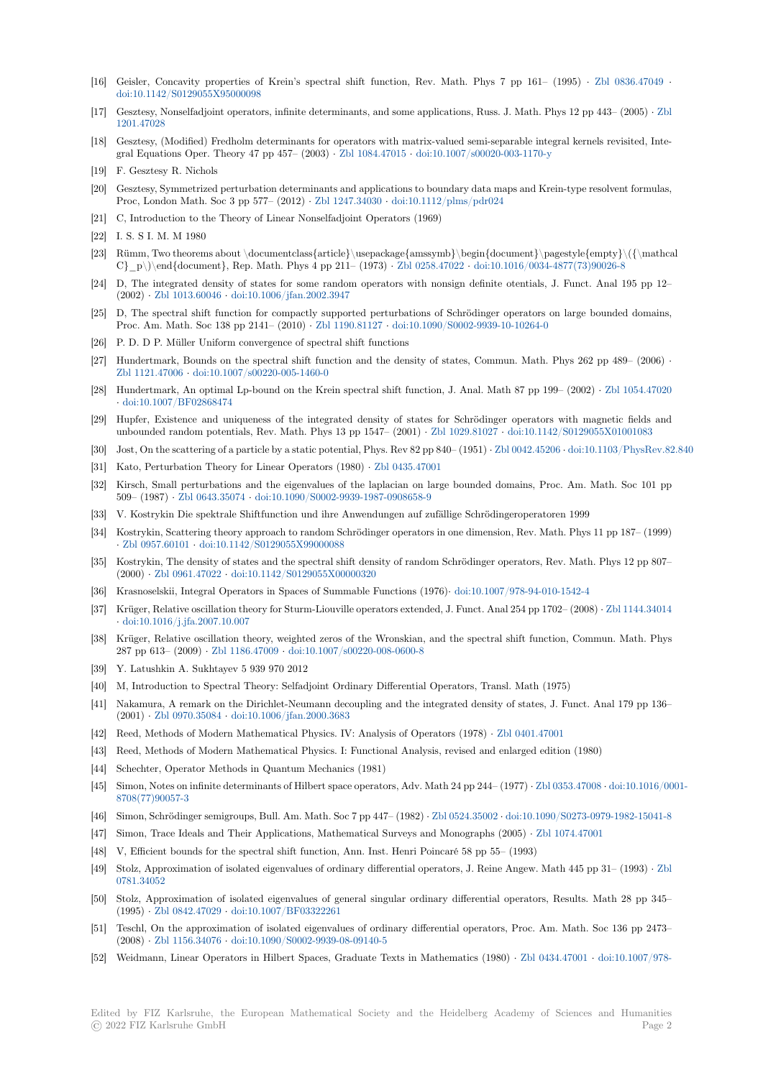- [16] Geisler, Concavity properties of Krein's spectral shift function, Rev. Math. Phys 7 pp 161– (1995) *·* Zbl 0836.47049 *·* doi:10.1142/S0129055X95000098
- [17] Gesztesy, Nonselfadjoint operators, infinite determinants, and some applications, Russ. J. Math. Phys 12 pp 443– (2005) *·* Zbl 1201.47028
- [18] Gesztesy, (Modified) Fredholm determinants for operators with matrix-valued semi-separable integral kern[els revisited, Int](https://zbmath.org/0836.47049)e[gral Equations Oper. Theory 47](https://dx.doi.org/10.1142/S0129055X95000098) pp 457– (2003) *·* Zbl 1084.47015 *·* doi:10.1007/s00020-003-1170-y
- [19] F. Gesztesy R. Nichols
- [20] [Gesztesy, S](https://zbmath.org/1201.47028)ymmetrized perturbation determinants and applications to boundary data maps and Krein-type resolvent formulas, Proc, London Math. Soc 3 pp 577– (2012) *·* Zbl 1247.34030 *·* doi:10.1112/plms/pdr024
- [21] C, Introduction to the Theory of Linear Nonselfa[djoint Operator](https://zbmath.org/1084.47015)s [\(1969\)](https://dx.doi.org/10.1007/s00020-003-1170-y)
- [22] I. S. S I. M. M 1980
- [23] Rümm, Two theorems about \documentclass{article}\usepackage{amssymb}\begin{document}\pagestyle{empty}\({\mathcal C}\_p\)\end{document}, Rep. Math. Phys [4 pp 211– \(1973](https://zbmath.org/1247.34030)) *·* [Zbl 0258.47022](https://dx.doi.org/10.1112/plms/pdr024) *·* doi:10.1016/0034-4877(73)90026-8
- [24] D, The integrated density of states for some random operators with nonsign definite otentials, J. Funct. Anal 195 pp 12– (2002) *·* Zbl 1013.60046 *·* doi:10.1006/jfan.2002.3947
- [25] D, The spectral shift function for compactly supported perturbations of Schrödinger operators on large bounded domains, Proc. Am. Math. Soc 138 pp 2141– (2010) *·* Zbl 1190.81127 *·* [doi:10.1090/S000](https://zbmath.org/0258.47022)2[-9939-10-10264-0](https://dx.doi.org/10.1016/0034-4877(73)90026-8)
- [26] P. D. D P. Müller Uniform convergence of spectral shift functions
- [27] Hundert[mark, Bounds o](https://zbmath.org/1013.60046)[n the spectral shift function](https://dx.doi.org/10.1006/jfan.2002.3947) and the density of states, Commun. Math. Phys 262 pp 489– (2006) *·* Zbl 1121.47006 *·* doi:10.1007/s00220-005-1460-0
- [28] Hundertmark, An optimal Lp-bound on the [Krein spectral s](https://zbmath.org/1190.81127)h[ift function, J. Anal. Math 87 pp 19](https://dx.doi.org/10.1090/S0002-9939-10-10264-0)9– (2002) *·* Zbl 1054.47020 *·* doi:10.1007/BF02868474
- [29] Hupfer, Existence and uniqueness of the integrated density of states for Schrödinger operators with magnetic fields and [unbounded ran](https://zbmath.org/1121.47006)d[om potentials, Rev. Math. Phys](https://dx.doi.org/10.1007/s00220-005-1460-0) 13 pp 1547– (2001) *·* Zbl 1029.81027 *·* doi:10.1142/S0129055X01001083
- [30] Jost, On the scattering of a particle by a static potential, Phys. Rev 82 pp 840– (1951) *·* Zbl 0042.45206 *·* doi:10.1[103/PhysRev.82](https://zbmath.org/1054.47020).840
- [31] [Kato, Perturbation Theory](https://dx.doi.org/10.1007/BF02868474) for Linear Operators (1980) *·* Zbl 0435.47001
- [32] Kirsch, Small perturbations and the eigenvalues of the laplacian on large bounded domains, Proc. Am. Math. Soc 101 pp 509– (1987) *·* Zbl 0643.35074 *·* doi:10.1090/S0002-9939-1987-0908658-[9](https://zbmath.org/1029.81027)
- [33] V. Kostrykin Die spektrale Shiftfunction und ihre Anwendungen auf zufällige Schrö[dingeroperatore](https://zbmath.org/0042.45206)n [1999](https://dx.doi.org/10.1103/PhysRev.82.840)
- [34] Kostrykin, Scattering theory approach to random Schrödi[nger operators in](https://zbmath.org/0435.47001) one dimension, Rev. Math. Phys 11 pp 187– (1999) *·* Zbl 0957.60101 *·* doi:10.1142/S0129055X99000088
- [35] Kostrykin, T[he density of sta](https://zbmath.org/0643.35074)te[s and the spectral shift density of random](https://dx.doi.org/10.1090/S0002-9939-1987-0908658-9) Schrödinger operators, Rev. Math. Phys 12 pp 807– (2000) *·* Zbl 0961.47022 *·* doi:10.1142/S0129055X00000320
- [36] Krasnoselskii, Integral Operators in Spaces of Summable Functions (1976)*·* doi:10.1007/978-94-010-1542-4
- [37] [Krüger, Relative](https://zbmath.org/0957.60101) o[scillation theory for Sturm-Liouvil](https://dx.doi.org/10.1142/S0129055X99000088)le operators extended, J. Funct. Anal 254 pp 1702– (2008) *·* Zbl 1144.34014 *·* doi:10.1016/j.jfa.2007.10.007
- [38] Krüger, [Relative oscillat](https://zbmath.org/0961.47022)i[on theory, weighted zeros of the W](https://dx.doi.org/10.1142/S0129055X00000320)ronskian, and the spectral shift function, Commun. Math. Phys 287 pp 613– (2009) *·* Zbl 1186.47009 *·* doi:10.1007/s00220-008-0600-8
- [39] Y. Latushkin A. Sukhtayev 5 939 970 2012
- [40] [M, Introduction to Spectral T](https://dx.doi.org/10.1016/j.jfa.2007.10.007)heory: Selfadjoint Ordinary Differential Operators, Transl. Math (1975)
- [41] Nakamura, A remark on the Dirichlet-Neumann decoupling and the integrated density of states, J. Funct. Anal 179 pp 136– (2001) *·* Zbl 0970.35084 *·* [doi:10.1006](https://zbmath.org/1186.47009)/[jfan.2000.3683](https://dx.doi.org/10.1007/s00220-008-0600-8)
- [42] Reed, Methods of Modern Mathematical Physics. IV: Analysis of Operators (1978) *·* Zbl 0401.47001
- [43] Reed, Methods of Modern Mathematical Physics. I: Functional Analysis, revised and enlarged edition (1980)
- [44] Schechter, Operator Methods in Quantum Mechanics (1981)
- [45] Simon, [Notes on infinite](https://zbmath.org/0970.35084)d[eterminants of Hilbert space](https://dx.doi.org/10.1006/jfan.2000.3683) operators, Adv. Math 24 pp 244 [\(1977\)](https://zbmath.org/0401.47001) *·* Zbl 0353.47008 *·* doi:10.1016/0001- 8708(77)90057-3
- [46] Simon, Schrödinger semigroups, Bull. Am. Math. Soc 7 pp 447– (1982) *·* Zbl 0524.35002 *·* doi:10.1090/S0273-0979-1982-15041-8
- [47] Simon, Trace Ideals and Their Applications, Mathematical Surveys and Monographs (2005) *·* Zbl 1074.47001
- [48] V, Efficient bounds for the spectral shift function, Ann. Inst. Henri Poincaré 58 pp 55– (1993[\)](https://zbmath.org/0353.47008)
- [49] [Stolz, Approxim](https://dx.doi.org/10.1016/0001-8708(77)90057-3)ation of isolated eigenvalues of ordinary differential operators, J. Reine Angew. Math 445 pp 31– (1993) *[·](https://dx.doi.org/10.1090/S0273-0979-1982-15041-8)* Zbl 0781.34052
- [50] Stolz, Approximation of isolated eigenvalues of general singular ordinary differential operat[ors, Results. Ma](https://zbmath.org/1074.47001)th 28 pp 345– (1995) *·* Zbl 0842.47029 *·* doi:10.1007/BF03322261
- [51] Teschl, On the approximation of isolated eigenvalues of ordinary differential operators, Proc. Am. Math. Soc 136 pp 24[73–](https://zbmath.org/0781.34052) [\(2008\)](https://zbmath.org/0781.34052) *·* Zbl 1156.34076 *·* doi:10.1090/S0002-9939-08-09140-5
- [52] Weidmann, Linear Operators in Hilbert Spaces, Graduate Texts in Mathematics (1980) *·* Zbl 0434.47001 *·* doi:10.1007/978-